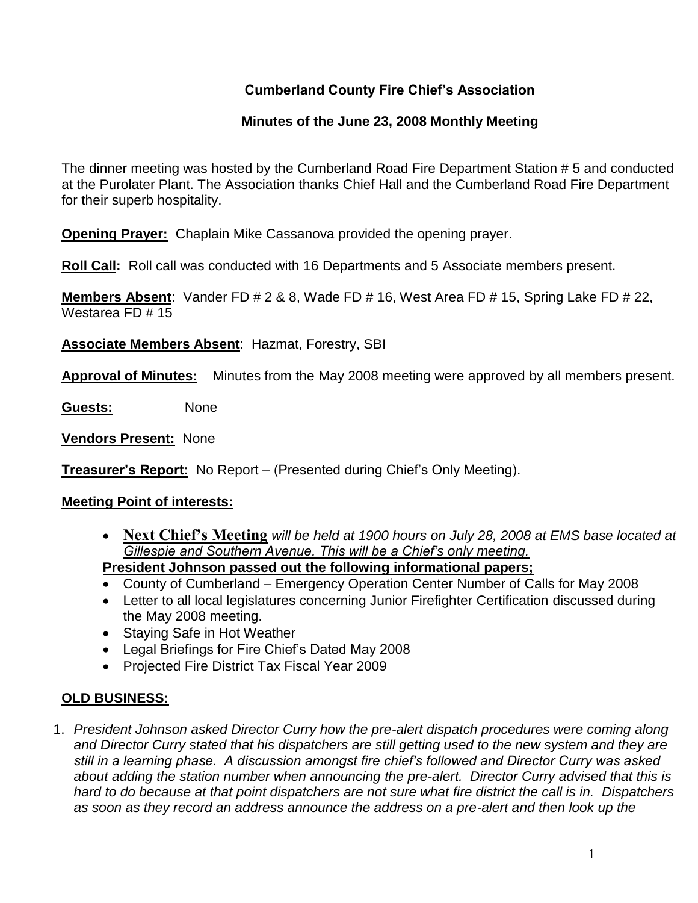# **Cumberland County Fire Chief's Association**

# **Minutes of the June 23, 2008 Monthly Meeting**

The dinner meeting was hosted by the Cumberland Road Fire Department Station # 5 and conducted at the Purolater Plant. The Association thanks Chief Hall and the Cumberland Road Fire Department for their superb hospitality.

**Opening Prayer:** Chaplain Mike Cassanova provided the opening prayer.

**Roll Call:** Roll call was conducted with 16 Departments and 5 Associate members present.

**Members Absent**: Vander FD # 2 & 8, Wade FD # 16, West Area FD # 15, Spring Lake FD # 22, Westarea FD # 15

**Associate Members Absent**: Hazmat, Forestry, SBI

**Approval of Minutes:** Minutes from the May 2008 meeting were approved by all members present.

**Guests:** None

**Vendors Present:** None

**Treasurer's Report:** No Report – (Presented during Chief's Only Meeting).

## **Meeting Point of interests:**

 **Next Chief's Meeting** *will be held at 1900 hours on July 28, 2008 at EMS base located at Gillespie and Southern Avenue. This will be a Chief's only meeting.*

**President Johnson passed out the following informational papers;**

- County of Cumberland Emergency Operation Center Number of Calls for May 2008
- Letter to all local legislatures concerning Junior Firefighter Certification discussed during the May 2008 meeting.
- Staying Safe in Hot Weather
- Legal Briefings for Fire Chief's Dated May 2008
- Projected Fire District Tax Fiscal Year 2009

## **OLD BUSINESS:**

1. *President Johnson asked Director Curry how the pre-alert dispatch procedures were coming along and Director Curry stated that his dispatchers are still getting used to the new system and they are still in a learning phase. A discussion amongst fire chief's followed and Director Curry was asked about adding the station number when announcing the pre-alert. Director Curry advised that this is hard to do because at that point dispatchers are not sure what fire district the call is in. Dispatchers as soon as they record an address announce the address on a pre-alert and then look up the*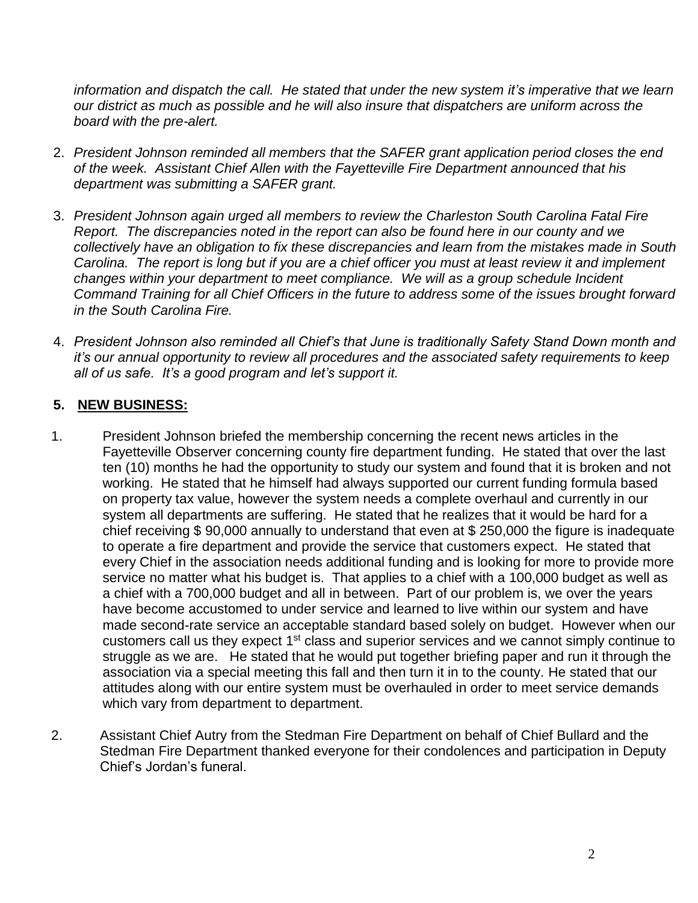*information and dispatch the call. He stated that under the new system it's imperative that we learn our district as much as possible and he will also insure that dispatchers are uniform across the board with the pre-alert.* 

- 2. *President Johnson reminded all members that the SAFER grant application period closes the end of the week. Assistant Chief Allen with the Fayetteville Fire Department announced that his department was submitting a SAFER grant.*
- 3. *President Johnson again urged all members to review the Charleston South Carolina Fatal Fire Report. The discrepancies noted in the report can also be found here in our county and we collectively have an obligation to fix these discrepancies and learn from the mistakes made in South Carolina. The report is long but if you are a chief officer you must at least review it and implement changes within your department to meet compliance. We will as a group schedule Incident Command Training for all Chief Officers in the future to address some of the issues brought forward in the South Carolina Fire.*
- 4. *President Johnson also reminded all Chief's that June is traditionally Safety Stand Down month and it's our annual opportunity to review all procedures and the associated safety requirements to keep all of us safe. It's a good program and let's support it.*

# **5. NEW BUSINESS:**

- 1. President Johnson briefed the membership concerning the recent news articles in the Fayetteville Observer concerning county fire department funding. He stated that over the last ten (10) months he had the opportunity to study our system and found that it is broken and not working. He stated that he himself had always supported our current funding formula based on property tax value, however the system needs a complete overhaul and currently in our system all departments are suffering. He stated that he realizes that it would be hard for a chief receiving \$ 90,000 annually to understand that even at \$ 250,000 the figure is inadequate to operate a fire department and provide the service that customers expect. He stated that every Chief in the association needs additional funding and is looking for more to provide more service no matter what his budget is. That applies to a chief with a 100,000 budget as well as a chief with a 700,000 budget and all in between. Part of our problem is, we over the years have become accustomed to under service and learned to live within our system and have made second-rate service an acceptable standard based solely on budget. However when our customers call us they expect 1<sup>st</sup> class and superior services and we cannot simply continue to struggle as we are. He stated that he would put together briefing paper and run it through the association via a special meeting this fall and then turn it in to the county. He stated that our attitudes along with our entire system must be overhauled in order to meet service demands which vary from department to department.
- 2. Assistant Chief Autry from the Stedman Fire Department on behalf of Chief Bullard and the Stedman Fire Department thanked everyone for their condolences and participation in Deputy Chief's Jordan's funeral.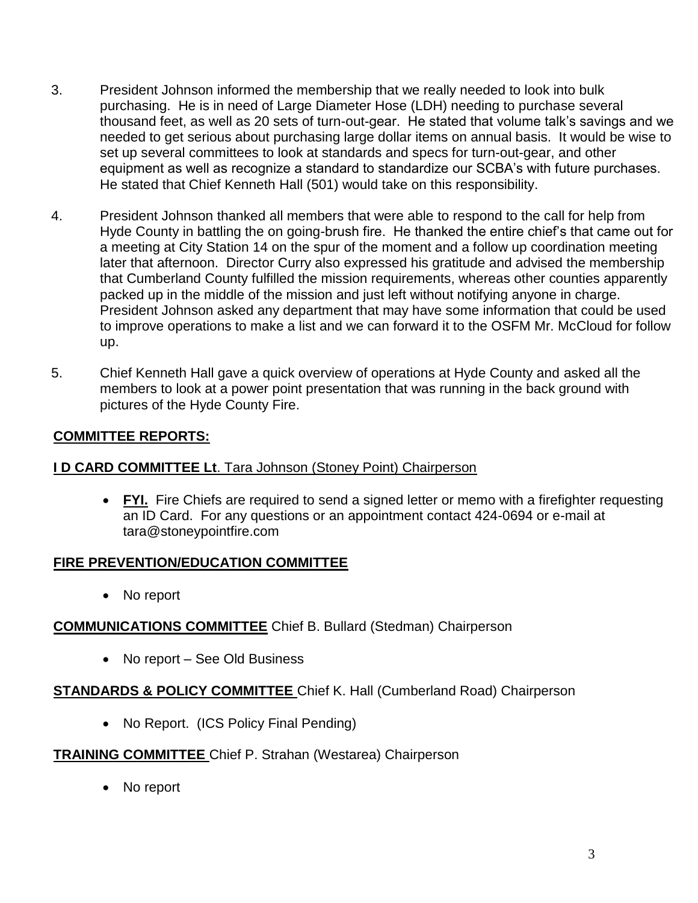- 3. President Johnson informed the membership that we really needed to look into bulk purchasing. He is in need of Large Diameter Hose (LDH) needing to purchase several thousand feet, as well as 20 sets of turn-out-gear. He stated that volume talk's savings and we needed to get serious about purchasing large dollar items on annual basis. It would be wise to set up several committees to look at standards and specs for turn-out-gear, and other equipment as well as recognize a standard to standardize our SCBA's with future purchases. He stated that Chief Kenneth Hall (501) would take on this responsibility.
- 4. President Johnson thanked all members that were able to respond to the call for help from Hyde County in battling the on going-brush fire. He thanked the entire chief's that came out for a meeting at City Station 14 on the spur of the moment and a follow up coordination meeting later that afternoon. Director Curry also expressed his gratitude and advised the membership that Cumberland County fulfilled the mission requirements, whereas other counties apparently packed up in the middle of the mission and just left without notifying anyone in charge. President Johnson asked any department that may have some information that could be used to improve operations to make a list and we can forward it to the OSFM Mr. McCloud for follow up.
- 5. Chief Kenneth Hall gave a quick overview of operations at Hyde County and asked all the members to look at a power point presentation that was running in the back ground with pictures of the Hyde County Fire.

# **COMMITTEE REPORTS:**

## **I D CARD COMMITTEE Lt**. Tara Johnson (Stoney Point) Chairperson

• FYI. Fire Chiefs are required to send a signed letter or memo with a firefighter requesting an ID Card. For any questions or an appointment contact 424-0694 or e-mail at [tara@stoneypointfire.com](mailto:tara@stoneypointfire.com)

## **FIRE PREVENTION/EDUCATION COMMITTEE**

• No report

## **COMMUNICATIONS COMMITTEE** Chief B. Bullard (Stedman) Chairperson

• No report – See Old Business

## **STANDARDS & POLICY COMMITTEE** Chief K. Hall (Cumberland Road) Chairperson

• No Report. (ICS Policy Final Pending)

## **TRAINING COMMITTEE** Chief P. Strahan (Westarea) Chairperson

• No report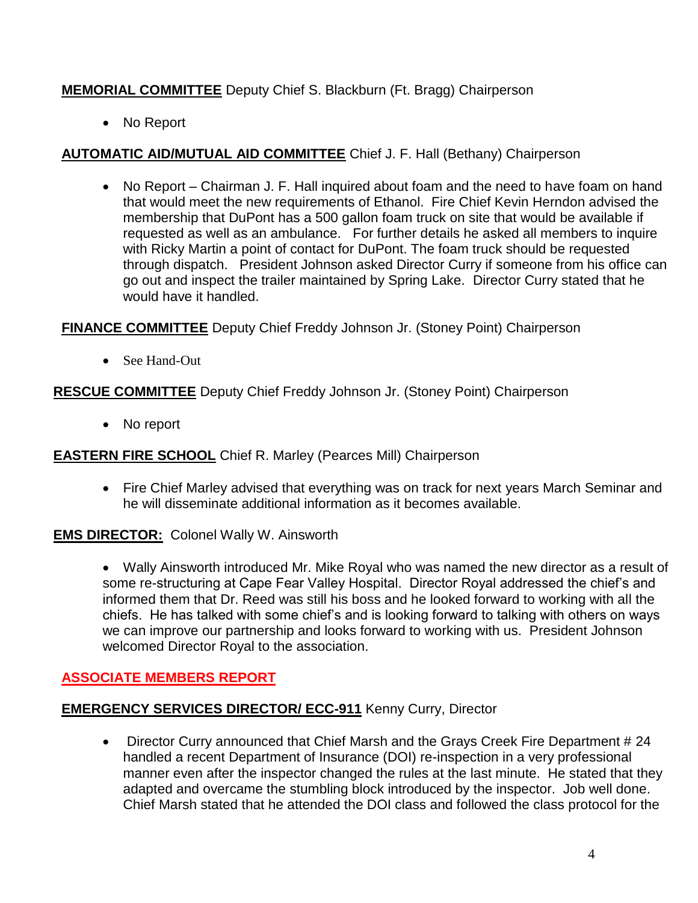# **MEMORIAL COMMITTEE** Deputy Chief S. Blackburn (Ft. Bragg) Chairperson

• No Report

## **AUTOMATIC AID/MUTUAL AID COMMITTEE** Chief J. F. Hall (Bethany) Chairperson

• No Report – Chairman J. F. Hall inquired about foam and the need to have foam on hand that would meet the new requirements of Ethanol. Fire Chief Kevin Herndon advised the membership that DuPont has a 500 gallon foam truck on site that would be available if requested as well as an ambulance. For further details he asked all members to inquire with Ricky Martin a point of contact for DuPont. The foam truck should be requested through dispatch. President Johnson asked Director Curry if someone from his office can go out and inspect the trailer maintained by Spring Lake. Director Curry stated that he would have it handled.

**FINANCE COMMITTEE** Deputy Chief Freddy Johnson Jr. (Stoney Point) Chairperson

• See Hand-Out

**RESCUE COMMITTEE** Deputy Chief Freddy Johnson Jr. (Stoney Point) Chairperson

• No report

**EASTERN FIRE SCHOOL** Chief R. Marley (Pearces Mill) Chairperson

• Fire Chief Marley advised that everything was on track for next years March Seminar and he will disseminate additional information as it becomes available.

**EMS DIRECTOR:** Colonel Wally W. Ainsworth

 Wally Ainsworth introduced Mr. Mike Royal who was named the new director as a result of some re-structuring at Cape Fear Valley Hospital. Director Royal addressed the chief's and informed them that Dr. Reed was still his boss and he looked forward to working with all the chiefs. He has talked with some chief's and is looking forward to talking with others on ways we can improve our partnership and looks forward to working with us. President Johnson welcomed Director Royal to the association.

## **ASSOCIATE MEMBERS REPORT**

## **EMERGENCY SERVICES DIRECTOR/ ECC-911** Kenny Curry, Director

• Director Curry announced that Chief Marsh and the Grays Creek Fire Department # 24 handled a recent Department of Insurance (DOI) re-inspection in a very professional manner even after the inspector changed the rules at the last minute. He stated that they adapted and overcame the stumbling block introduced by the inspector. Job well done. Chief Marsh stated that he attended the DOI class and followed the class protocol for the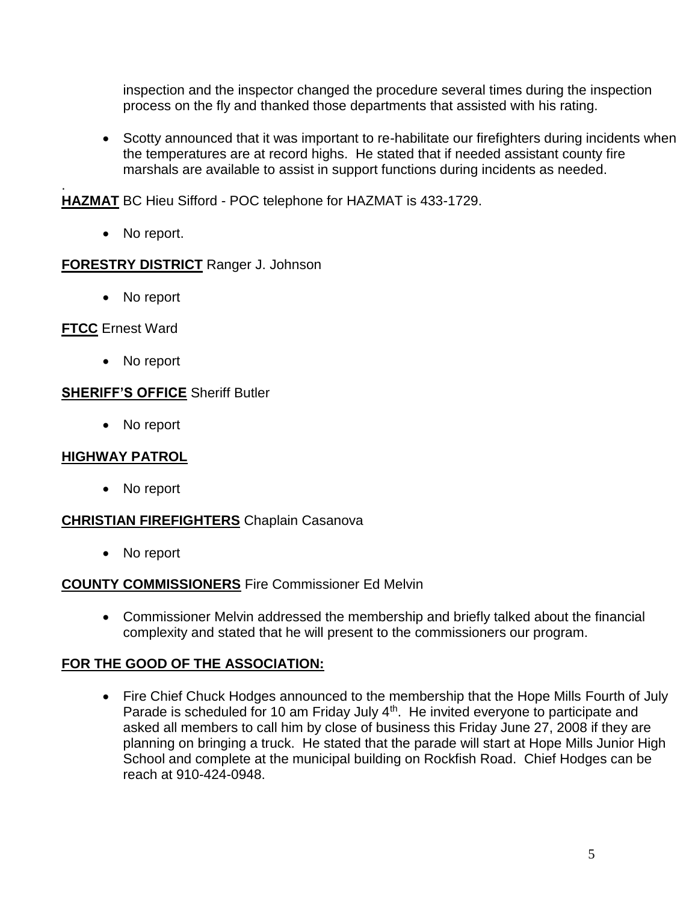inspection and the inspector changed the procedure several times during the inspection process on the fly and thanked those departments that assisted with his rating.

• Scotty announced that it was important to re-habilitate our firefighters during incidents when the temperatures are at record highs. He stated that if needed assistant county fire marshals are available to assist in support functions during incidents as needed.

**HAZMAT** BC Hieu Sifford - POC telephone for HAZMAT is 433-1729.

• No report.

### **FORESTRY DISTRICT** Ranger J. Johnson

• No report

### **FTCC** Ernest Ward

.

No report

### **SHERIFF'S OFFICE** Sheriff Butler

• No report

### **HIGHWAY PATROL**

• No report

### **CHRISTIAN FIREFIGHTERS** Chaplain Casanova

• No report

#### **COUNTY COMMISSIONERS** Fire Commissioner Ed Melvin

 Commissioner Melvin addressed the membership and briefly talked about the financial complexity and stated that he will present to the commissioners our program.

### **FOR THE GOOD OF THE ASSOCIATION:**

• Fire Chief Chuck Hodges announced to the membership that the Hope Mills Fourth of July Parade is scheduled for 10 am Friday July 4<sup>th</sup>. He invited everyone to participate and asked all members to call him by close of business this Friday June 27, 2008 if they are planning on bringing a truck. He stated that the parade will start at Hope Mills Junior High School and complete at the municipal building on Rockfish Road. Chief Hodges can be reach at 910-424-0948.